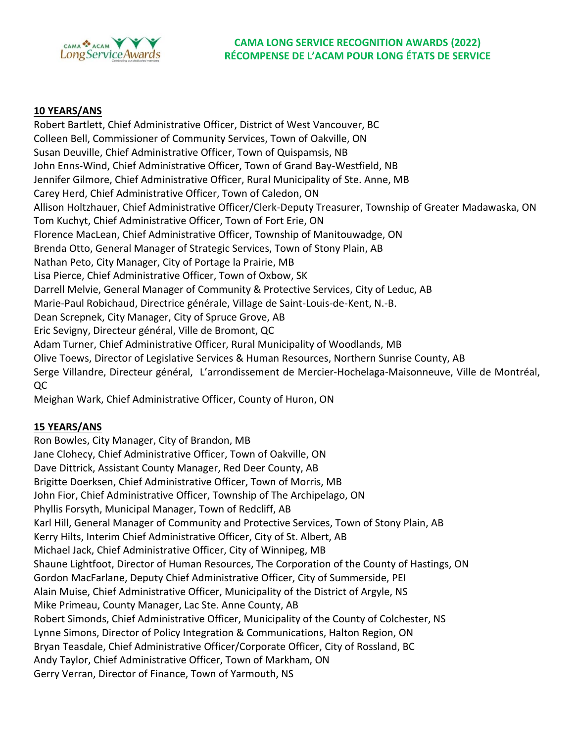

## **10 YEARS/ANS**

Robert Bartlett, Chief Administrative Officer, District of West Vancouver, BC Colleen Bell, Commissioner of Community Services, Town of Oakville, ON Susan Deuville, Chief Administrative Officer, Town of Quispamsis, NB John Enns-Wind, Chief Administrative Officer, Town of Grand Bay-Westfield, NB Jennifer Gilmore, Chief Administrative Officer, Rural Municipality of Ste. Anne, MB Carey Herd, Chief Administrative Officer, Town of Caledon, ON Allison Holtzhauer, Chief Administrative Officer/Clerk-Deputy Treasurer, Township of Greater Madawaska, ON Tom Kuchyt, Chief Administrative Officer, Town of Fort Erie, ON Florence MacLean, Chief Administrative Officer, Township of Manitouwadge, ON Brenda Otto, General Manager of Strategic Services, Town of Stony Plain, AB Nathan Peto, City Manager, City of Portage la Prairie, MB Lisa Pierce, Chief Administrative Officer, Town of Oxbow, SK Darrell Melvie, General Manager of Community & Protective Services, City of Leduc, AB Marie-Paul Robichaud, Directrice générale, Village de Saint-Louis-de-Kent, N.-B. Dean Screpnek, City Manager, City of Spruce Grove, AB Eric Sevigny, Directeur général, Ville de Bromont, QC Adam Turner, Chief Administrative Officer, Rural Municipality of Woodlands, MB Olive Toews, Director of Legislative Services & Human Resources, Northern Sunrise County, AB Serge Villandre, Directeur général, L'arrondissement de Mercier-Hochelaga-Maisonneuve, Ville de Montréal, QC

Meighan Wark, Chief Administrative Officer, County of Huron, ON

# **15 YEARS/ANS**

Ron Bowles, City Manager, City of Brandon, MB Jane Clohecy, Chief Administrative Officer, Town of Oakville, ON Dave Dittrick, Assistant County Manager, Red Deer County, AB Brigitte Doerksen, Chief Administrative Officer, Town of Morris, MB John Fior, Chief Administrative Officer, Township of The Archipelago, ON Phyllis Forsyth, Municipal Manager, Town of Redcliff, AB Karl Hill, General Manager of Community and Protective Services, Town of Stony Plain, AB Kerry Hilts, Interim Chief Administrative Officer, City of St. Albert, AB Michael Jack, Chief Administrative Officer, City of Winnipeg, MB Shaune Lightfoot, Director of Human Resources, The Corporation of the County of Hastings, ON Gordon MacFarlane, Deputy Chief Administrative Officer, City of Summerside, PEI Alain Muise, Chief Administrative Officer, Municipality of the District of Argyle, NS Mike Primeau, County Manager, Lac Ste. Anne County, AB Robert Simonds, Chief Administrative Officer, Municipality of the County of Colchester, NS Lynne Simons, Director of Policy Integration & Communications, Halton Region, ON Bryan Teasdale, Chief Administrative Officer/Corporate Officer, City of Rossland, BC Andy Taylor, Chief Administrative Officer, Town of Markham, ON Gerry Verran, Director of Finance, Town of Yarmouth, NS